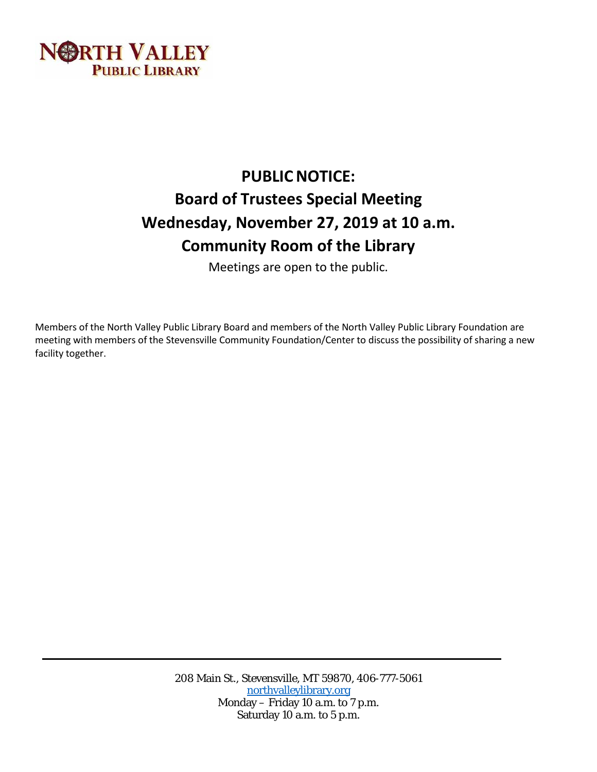

# **PUBLIC NOTICE: Board of Trustees Special Meeting Wednesday, November 27, 2019 at 10 a.m. Community Room of the Library**

Meetings are open to the public.

Members of the North Valley Public Library Board and members of the North Valley Public Library Foundation are meeting with members of the Stevensville Community Foundation/Center to discuss the possibility of sharing a new facility together.

> 208 Main St., Stevensville, MT 59870, 406-777-5061 [northvalleylibrary.org](http://www.northvalleylibrary.org/) Monday – Friday 10 a.m. to 7 p.m. Saturday 10 a.m. to 5 p.m.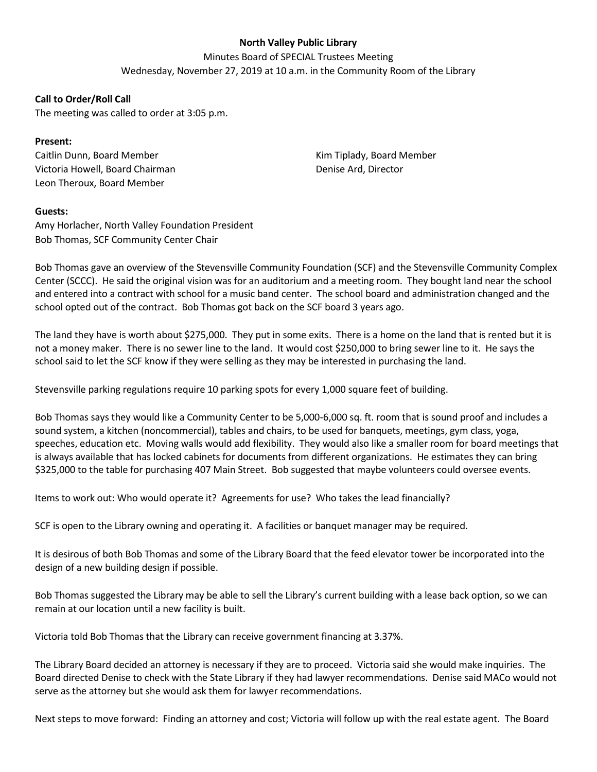## **North Valley Public Library**

Minutes Board of SPECIAL Trustees Meeting Wednesday, November 27, 2019 at 10 a.m. in the Community Room of the Library

### **Call to Order/Roll Call**

The meeting was called to order at 3:05 p.m.

### **Present:**

Caitlin Dunn, Board Member Victoria Howell, Board Chairman Leon Theroux, Board Member

Kim Tiplady, Board Member Denise Ard, Director

#### **Guests:**

Amy Horlacher, North Valley Foundation President Bob Thomas, SCF Community Center Chair

Bob Thomas gave an overview of the Stevensville Community Foundation (SCF) and the Stevensville Community Complex Center (SCCC). He said the original vision was for an auditorium and a meeting room. They bought land near the school and entered into a contract with school for a music band center. The school board and administration changed and the school opted out of the contract. Bob Thomas got back on the SCF board 3 years ago.

The land they have is worth about \$275,000. They put in some exits. There is a home on the land that is rented but it is not a money maker. There is no sewer line to the land. It would cost \$250,000 to bring sewer line to it. He says the school said to let the SCF know if they were selling as they may be interested in purchasing the land.

Stevensville parking regulations require 10 parking spots for every 1,000 square feet of building.

Bob Thomas says they would like a Community Center to be 5,000-6,000 sq. ft. room that is sound proof and includes a sound system, a kitchen (noncommercial), tables and chairs, to be used for banquets, meetings, gym class, yoga, speeches, education etc. Moving walls would add flexibility. They would also like a smaller room for board meetings that is always available that has locked cabinets for documents from different organizations. He estimates they can bring \$325,000 to the table for purchasing 407 Main Street. Bob suggested that maybe volunteers could oversee events.

Items to work out: Who would operate it? Agreements for use? Who takes the lead financially?

SCF is open to the Library owning and operating it. A facilities or banquet manager may be required.

It is desirous of both Bob Thomas and some of the Library Board that the feed elevator tower be incorporated into the design of a new building design if possible.

Bob Thomas suggested the Library may be able to sell the Library's current building with a lease back option, so we can remain at our location until a new facility is built.

Victoria told Bob Thomas that the Library can receive government financing at 3.37%.

The Library Board decided an attorney is necessary if they are to proceed. Victoria said she would make inquiries. The Board directed Denise to check with the State Library if they had lawyer recommendations. Denise said MACo would not serve as the attorney but she would ask them for lawyer recommendations.

Next steps to move forward: Finding an attorney and cost; Victoria will follow up with the real estate agent. The Board